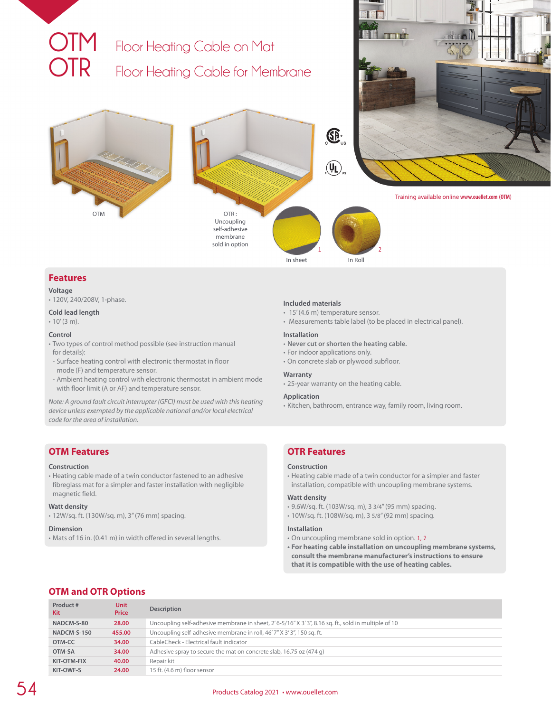

## **Features**

## **Voltage**

• 120V, 240/208V, 1-phase.

### **Cold lead length**

• 10' (3 m).

## **Control**

- Two types of control method possible (see instruction manual for details):
- Surface heating control with electronic thermostat in floor mode (F) and temperature sensor.
- Ambient heating control with electronic thermostat in ambient mode with floor limit (A or AF) and temperature sensor.

*Note: A ground fault circuit interrupter (GFCI) must be used with this heating device unless exempted by the applicable national and/or local electrical code for the area of installation.*

## **OTM Features**

#### **Construction**

• Heating cable made of a twin conductor fastened to an adhesive fibreglass mat for a simpler and faster installation with negligible magnetic field.

## **Watt density**

• 12W/sq. ft. (130W/sq. m), 3" (76 mm) spacing.

### **Dimension**

• Mats of 16 in. (0.41 m) in width offered in several lengths.

#### **Included materials**

- 15' (4.6 m) temperature sensor.
- Measurements table label (to be placed in electrical panel).

### **Installation**

- **Never cut or shorten the heating cable.**
- For indoor applications only.
- On concrete slab or plywood subfloor.

## **Warranty**

• 25-year warranty on the heating cable.

### **Application**

• Kitchen, bathroom, entrance way, family room, living room.

# **OTR Features**

#### **Construction**

• Heating cable made of a twin conductor for a simpler and faster installation, compatible with uncoupling membrane systems.

## **Watt density**

- 9.6W/sq. ft. (103W/sq. m), 3 3/4" (95 mm) spacing.
- 10W/sq. ft. (108W/sq. m), 3 5/8" (92 mm) spacing.

## **Installation**

- On uncoupling membrane sold in option. **1, 2**
- **• For heating cable installation on uncoupling membrane systems, consult the membrane manufacturer's instructions to ensure that it is compatible with the use of heating cables.**

# **OTM and OTR Options**

| Product#<br>Kit | <b>Unit</b><br><b>Price</b> | <b>Description</b>                                                                                 |
|-----------------|-----------------------------|----------------------------------------------------------------------------------------------------|
| NADCM-S-80      | 28.00                       | Uncoupling self-adhesive membrane in sheet, 2'6-5/16" X 3'3", 8.16 sq. ft., sold in multiple of 10 |
| NADCM-S-150     | 455.00                      | Uncoupling self-adhesive membrane in roll, 46'7" X 3'3", 150 sq. ft.                               |
| OTM-CC          | 34.00                       | CableCheck - Electrical fault indicator                                                            |
| OTM-SA          | 34.00                       | Adhesive spray to secure the mat on concrete slab, 16.75 oz (474 g)                                |
| KIT-OTM-FIX     | 40.00                       | Repair kit                                                                                         |
| KIT-OWF-S       | 24.00                       | 15 ft. (4.6 m) floor sensor                                                                        |